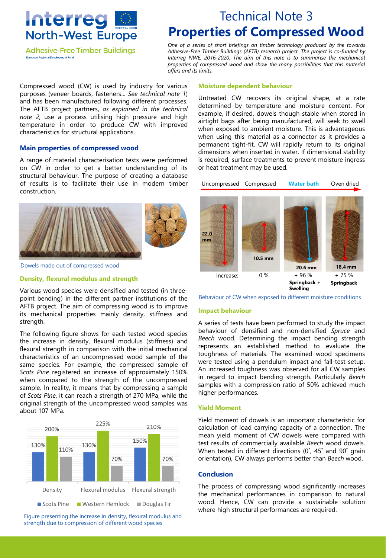

**Adhesive-Free Timber Buildings** European Regional Development Fund

# Technical Note 3 **Properties of Compressed Wood**

*One of a series of short briefings on timber technology produced by the towards Adhesive-Free Timber Buildings (AFTB) research project. The project is co-funded by Interreg NWE, 2016-2020. The aim of this note is to summarise the mechanical properties of compressed wood and show the many possibilities that this material offers and its limits.*

Compressed wood (CW) is used by industry for various purposes (veneer boards, fasteners... *See technical note 1*) and has been manufactured following different processes. The AFTB project partners, *as explained in the technical note 2*, use a process utilising high pressure and high temperature in order to produce CW with improved characteristics for structural applications.

#### **Main properties of compressed wood**

A range of material characterisation tests were performed on CW in order to get a better understanding of its structural behaviour. The purpose of creating a database of results is to facilitate their use in modern timber construction.



Dowels made out of compressed wood

#### **Density, flexural modulus and strength**

Various wood species were densified and tested (in threepoint bending) in the different partner institutions of the AFTB project. The aim of compressing wood is to improve its mechanical properties mainly density, stiffness and strength.

The following figure shows for each tested wood species the increase in density, flexural modulus (stiffness) and flexural strength in comparison with the initial mechanical characteristics of an uncompressed wood sample of the same species. For example, the compressed sample of *Scots Pine* registered an increase of approximately 150% when compared to the strength of the uncompressed sample. In reality, it means that by compressing a sample of *Scots Pine*, it can reach a strength of 270 MPa, while the original strength of the uncompressed wood samples was about 107 MPa.



Figure presenting the increase in density, flexural modulus and strength due to compression of different wood species

#### **Moisture dependent behaviour**

Untreated CW recovers its original shape, at a rate determined by temperature and moisture content. For example, if desired, dowels though stable when stored in airtight bags after being manufactured, will seek to swell when exposed to ambient moisture. This is advantageous when using this material as a connector as it provides a permanent tight-fit. CW will rapidly return to its original dimensions when inserted in water. If dimensional stability is required, surface treatments to prevent moisture ingress or heat treatment may be used.

Uncompressed Compressed **Water bath** Oven dried



Behaviour of CW when exposed to different moisture conditions

#### **Impact behaviour**

A series of tests have been performed to study the impact behaviour of densified and non-densified *Spruce* and *Beech* wood. Determining the impact bending strength represents an established method to evaluate the toughness of materials. The examined wood specimens were tested using a pendulum impact and fall-test setup. An increased toughness was observed for all CW samples in regard to impact bending strength. Particularly *Beech* samples with a compression ratio of 50% achieved much higher performances.

#### **Yield Moment**

Yield moment of dowels is an important characteristic for calculation of load carrying capacity of a connection. The mean yield moment of CW dowels were compared with test results of commercially available *Beech* wood dowels. When tested in different directions (0˚, 45˚ and 90˚ grain orientation), CW always performs better than *Beech* wood.

#### **Conclusion**

The process of compressing wood significantly increases the mechanical performances in comparison to natural wood. Hence, CW can provide a sustainable solution where high structural performances are required.